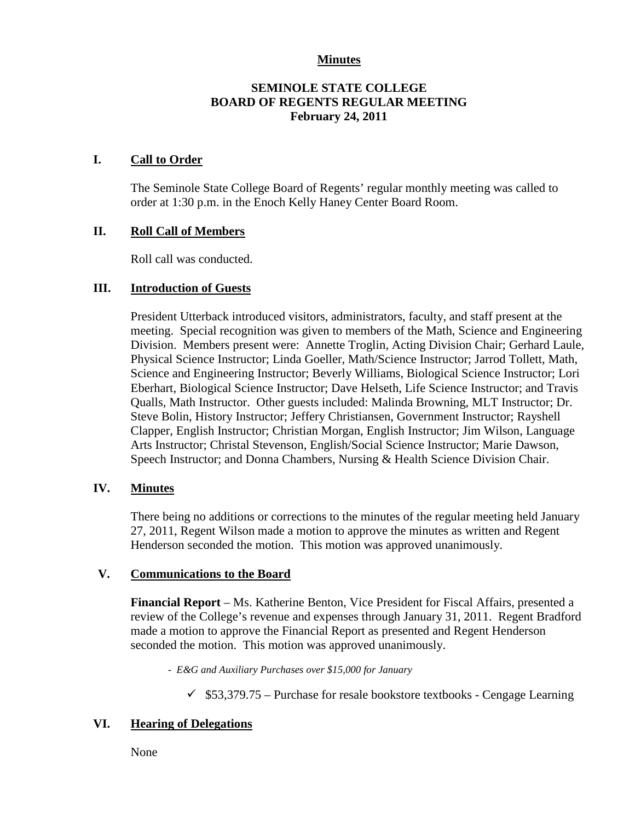### **Minutes**

## **SEMINOLE STATE COLLEGE BOARD OF REGENTS REGULAR MEETING February 24, 2011**

### **I. Call to Order**

The Seminole State College Board of Regents' regular monthly meeting was called to order at 1:30 p.m. in the Enoch Kelly Haney Center Board Room.

### **II. Roll Call of Members**

Roll call was conducted.

### **III. Introduction of Guests**

President Utterback introduced visitors, administrators, faculty, and staff present at the meeting. Special recognition was given to members of the Math, Science and Engineering Division. Members present were: Annette Troglin, Acting Division Chair; Gerhard Laule, Physical Science Instructor; Linda Goeller, Math/Science Instructor; Jarrod Tollett, Math, Science and Engineering Instructor; Beverly Williams, Biological Science Instructor; Lori Eberhart, Biological Science Instructor; Dave Helseth, Life Science Instructor; and Travis Qualls, Math Instructor. Other guests included: Malinda Browning, MLT Instructor; Dr. Steve Bolin, History Instructor; Jeffery Christiansen, Government Instructor; Rayshell Clapper, English Instructor; Christian Morgan, English Instructor; Jim Wilson, Language Arts Instructor; Christal Stevenson, English/Social Science Instructor; Marie Dawson, Speech Instructor; and Donna Chambers, Nursing & Health Science Division Chair.

#### **IV. Minutes**

There being no additions or corrections to the minutes of the regular meeting held January 27, 2011, Regent Wilson made a motion to approve the minutes as written and Regent Henderson seconded the motion. This motion was approved unanimously.

#### **V. Communications to the Board**

**Financial Report** – Ms. Katherine Benton, Vice President for Fiscal Affairs, presented a review of the College's revenue and expenses through January 31, 2011. Regent Bradford made a motion to approve the Financial Report as presented and Regent Henderson seconded the motion. This motion was approved unanimously.

*- E&G and Auxiliary Purchases over \$15,000 for January*

 $\checkmark$  \$53,379.75 – Purchase for resale bookstore textbooks - Cengage Learning

# **VI. Hearing of Delegations**

None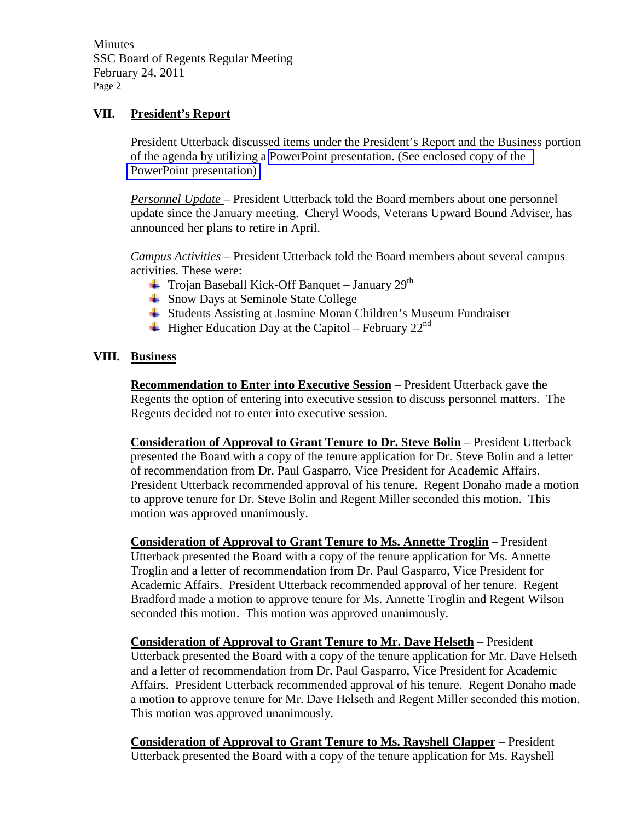**Minutes** SSC Board of Regents Regular Meeting February 24, 2011 Page 2

### **VII. President's Report**

President Utterback discussed items under the President's Report and the Business portion of the agenda by utilizing a PowerPoint presentation. (See enclosed copy of the PowerPoint presentation)

*Personnel Update* – President Utterback told the Board members about one personnel update since the January meeting. Cheryl Woods, Veterans Upward Bound Adviser, has announced her plans to retire in April.

*Campus Activities* – President Utterback told the Board members about several campus activities. These were:

- $\overline{+}$  Trojan Baseball Kick-Off Banquet January 29<sup>th</sup>
- **↓** Snow Days at Seminole State College
- Students Assisting at Jasmine Moran Children's Museum Fundraiser
- $\overline{\phantom{a} \phantom{a}}$  Higher Education Day at the Capitol February 22<sup>nd</sup>

### **VIII. Business**

**Recommendation to Enter into Executive Session** – President Utterback gave the Regents the option of entering into executive session to discuss personnel matters. The Regents decided not to enter into executive session.

**Consideration of Approval to Grant Tenure to Dr. Steve Bolin** – President Utterback presented the Board with a copy of the tenure application for Dr. Steve Bolin and a letter of recommendation from Dr. Paul Gasparro, Vice President for Academic Affairs. President Utterback recommended approval of his tenure. Regent Donaho made a motion to approve tenure for Dr. Steve Bolin and Regent Miller seconded this motion. This motion was approved unanimously.

**Consideration of Approval to Grant Tenure to Ms. Annette Troglin** – President Utterback presented the Board with a copy of the tenure application for Ms. Annette Troglin and a letter of recommendation from Dr. Paul Gasparro, Vice President for Academic Affairs. President Utterback recommended approval of her tenure. Regent Bradford made a motion to approve tenure for Ms. Annette Troglin and Regent Wilson seconded this motion. This motion was approved unanimously.

**Consideration of Approval to Grant Tenure to Mr. Dave Helseth** – President Utterback presented the Board with a copy of the tenure application for Mr. Dave Helseth and a letter of recommendation from Dr. Paul Gasparro, Vice President for Academic Affairs. President Utterback recommended approval of his tenure. Regent Donaho made a motion to approve tenure for Mr. Dave Helseth and Regent Miller seconded this motion. This motion was approved unanimously.

**Consideration of Approval to Grant Tenure to Ms. Rayshell Clapper** – President Utterback presented the Board with a copy of the tenure application for Ms. Rayshell